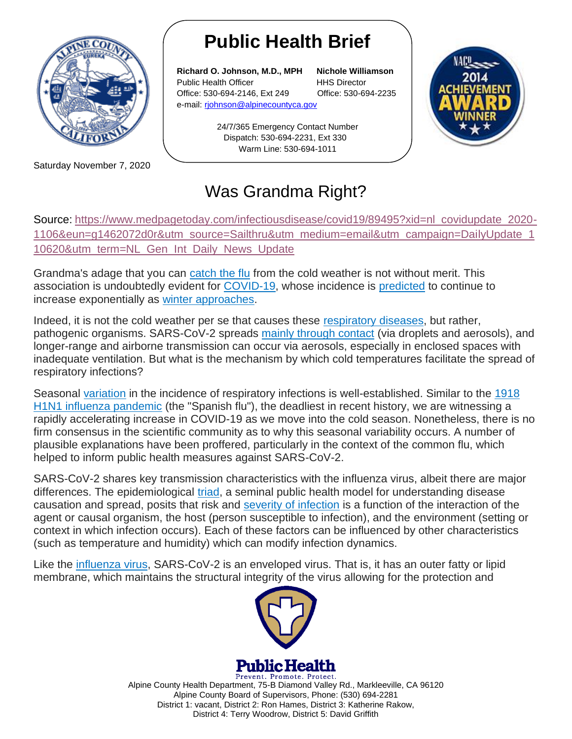

Saturday November 7, 2020

## **Public Health Brief**

**Richard O. Johnson, M.D., MPH Nichole Williamson** Public Health Officer **HHS Director** Office: 530-694-2146, Ext 249 Office: 530-694-2235 e-mail: [rjohnson@alpinecountyca.gov](mailto:rjohnson@alpinecountyca.gov) 

> 24/7/365 Emergency Contact Number Dispatch: 530-694-2231, Ext 330 Warm Line: 530-694-1011



## Was Grandma Right?

Source: [https://www.medpagetoday.com/infectiousdisease/covid19/89495?xid=nl\\_covidupdate\\_2020-](https://www.medpagetoday.com/infectiousdisease/covid19/89495?xid=nl_covidupdate_2020-1106&eun=g1462072d0r&utm_source=Sailthru&utm_medium=email&utm_campaign=DailyUpdate_110620&utm_term=NL_Gen_Int_Daily_News_Update) [1106&eun=g1462072d0r&utm\\_source=Sailthru&utm\\_medium=email&utm\\_campaign=DailyUpdate\\_1](https://www.medpagetoday.com/infectiousdisease/covid19/89495?xid=nl_covidupdate_2020-1106&eun=g1462072d0r&utm_source=Sailthru&utm_medium=email&utm_campaign=DailyUpdate_110620&utm_term=NL_Gen_Int_Daily_News_Update) [10620&utm\\_term=NL\\_Gen\\_Int\\_Daily\\_News\\_Update](https://www.medpagetoday.com/infectiousdisease/covid19/89495?xid=nl_covidupdate_2020-1106&eun=g1462072d0r&utm_source=Sailthru&utm_medium=email&utm_campaign=DailyUpdate_110620&utm_term=NL_Gen_Int_Daily_News_Update)

Grandma's adage that you can [catch the flu](https://www.cdc.gov/flu/about/season/flu-season.htm) from the cold weather is not without merit. This association is undoubtedly evident for [COVID-19,](https://doi.org/10.1016/S0140-6736(20)32153-X) whose incidence is [predicted](https://hub.jhu.edu/2020/09/11/winter-months-could-mean-rise-in-coronavirus-cases/) to continue to increase exponentially as [winter approaches.](https://www.ncbi.nlm.nih.gov/pmc/articles/PMC7195034/)

Indeed, it is not the cold weather per se that causes these [respiratory diseases,](https://doi.org/10.1016/j.ijid.2020.09.1474) but rather, pathogenic organisms. SARS-CoV-2 spreads [mainly through contact](https://doi.org/10.1016/S0140-6736(20)32153-X) (via droplets and aerosols), and longer-range and airborne transmission can occur via aerosols, especially in enclosed spaces with inadequate ventilation. But what is the mechanism by which cold temperatures facilitate the spread of respiratory infections?

Seasonal [variation](https://doi.org/10.1038/s41598-018-37481-y) in the incidence of respiratory infections is well-established. Similar to the [1918](https://www.ncbi.nlm.nih.gov/pmc/articles/PMC3180813/)  [H1N1 influenza pandemic](https://www.ncbi.nlm.nih.gov/pmc/articles/PMC3180813/) (the "Spanish flu"), the deadliest in recent history, we are witnessing a rapidly accelerating increase in COVID-19 as we move into the cold season. Nonetheless, there is no firm consensus in the scientific community as to why this seasonal variability occurs. A number of plausible explanations have been proffered, particularly in the context of the common flu, which helped to inform public health measures against SARS-CoV-2.

SARS-CoV-2 shares key transmission characteristics with the influenza virus, albeit there are major differences. The epidemiological [triad,](https://www.ncbi.nlm.nih.gov/pmc/articles/PMC7302069/#:~:text=The%20epidemiological%20triad%20(Figure)%20helps,agent%2C%20environment%2C%20and%20host.) a seminal public health model for understanding disease causation and spread, posits that risk and [severity of infection](http://iase-web.org/documents/SERJ/SERJ19(1)_Hassad.pdf?1583007172) is a function of the interaction of the agent or causal organism, the host (person susceptible to infection), and the environment (setting or context in which infection occurs). Each of these factors can be influenced by other characteristics (such as temperature and humidity) which can modify infection dynamics.

Like the [influenza virus,](https://www.ncbi.nlm.nih.gov/pmc/articles/PMC3086653/#:~:text=Influenza%20virus%20is%20an%20enveloped,apical%20membrane%20of%20infected%20cells.) SARS-CoV-2 is an enveloped virus. That is, it has an outer fatty or lipid membrane, which maintains the structural integrity of the virus allowing for the protection and



**Public Health** 

Prevent. Promote. Protect. Alpine County Health Department, 75-B Diamond Valley Rd., Markleeville, CA 96120 Alpine County Board of Supervisors, Phone: (530) 694-2281 District 1: vacant, District 2: Ron Hames, District 3: Katherine Rakow, District 4: Terry Woodrow, District 5: David Griffith